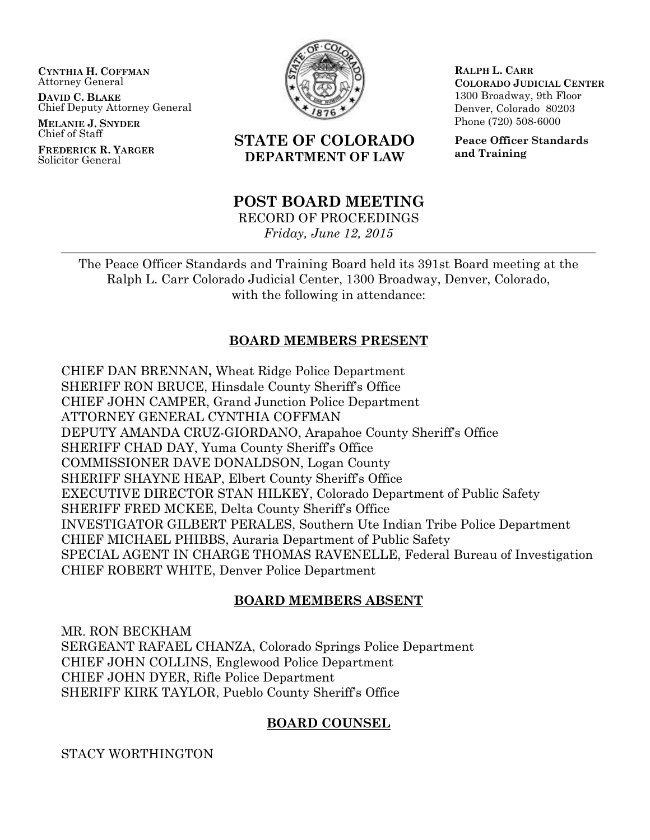**CYNTHIA H. COFFMAN** Attorney General

**DAVID C. BLAKE** Chief Deputy Attorney General

**MELANIE J. SNYDER** Chief of Staff

**FREDERICK R. YARGER** Solicitor General



# **STATE OF COLORADO DEPARTMENT OF LAW**

**RALPH L. CARR COLORADO JUDICIAL CENTER** 1300 Broadway, 9th Floor Denver, Colorado 80203 Phone (720) 508-6000

**Peace Officer Standards and Training**

# **POST BOARD MEETING**

RECORD OF PROCEEDINGS

*Friday, June 12, 2015*

The Peace Officer Standards and Training Board held its 391st Board meeting at the Ralph L. Carr Colorado Judicial Center, 1300 Broadway, Denver, Colorado, with the following in attendance:

# **BOARD MEMBERS PRESENT**

CHIEF DAN BRENNAN**,** Wheat Ridge Police Department SHERIFF RON BRUCE, Hinsdale County Sheriff's Office CHIEF JOHN CAMPER, Grand Junction Police Department ATTORNEY GENERAL CYNTHIA COFFMAN DEPUTY AMANDA CRUZ-GIORDANO, Arapahoe County Sheriff's Office SHERIFF CHAD DAY, Yuma County Sheriff's Office COMMISSIONER DAVE DONALDSON, Logan County SHERIFF SHAYNE HEAP, Elbert County Sheriff's Office EXECUTIVE DIRECTOR STAN HILKEY, Colorado Department of Public Safety SHERIFF FRED MCKEE, Delta County Sheriff's Office INVESTIGATOR GILBERT PERALES, Southern Ute Indian Tribe Police Department CHIEF MICHAEL PHIBBS, Auraria Department of Public Safety SPECIAL AGENT IN CHARGE THOMAS RAVENELLE, Federal Bureau of Investigation CHIEF ROBERT WHITE, Denver Police Department

# **BOARD MEMBERS ABSENT**

MR. RON BECKHAM SERGEANT RAFAEL CHANZA, Colorado Springs Police Department CHIEF JOHN COLLINS, Englewood Police Department CHIEF JOHN DYER, Rifle Police Department SHERIFF KIRK TAYLOR, Pueblo County Sheriff's Office

# **BOARD COUNSEL**

STACY WORTHINGTON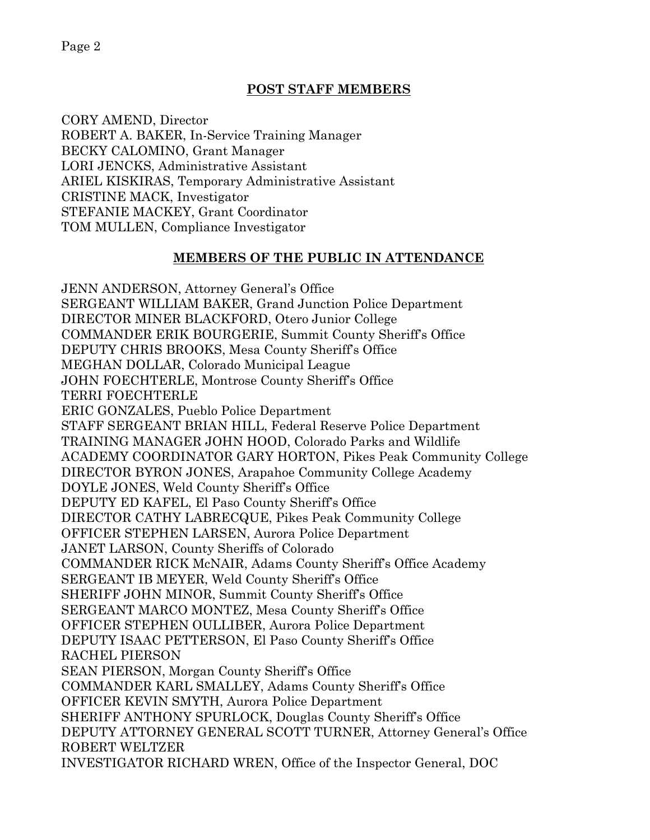CORY AMEND, Director ROBERT A. BAKER, In-Service Training Manager BECKY CALOMINO, Grant Manager LORI JENCKS, Administrative Assistant ARIEL KISKIRAS, Temporary Administrative Assistant CRISTINE MACK, Investigator STEFANIE MACKEY, Grant Coordinator TOM MULLEN, Compliance Investigator **MEMBERS OF THE PUBLIC IN ATTENDANCE** JENN ANDERSON, Attorney General's Office

**POST STAFF MEMBERS**

SERGEANT WILLIAM BAKER, Grand Junction Police Department DIRECTOR MINER BLACKFORD, Otero Junior College COMMANDER ERIK BOURGERIE, Summit County Sheriff's Office DEPUTY CHRIS BROOKS, Mesa County Sheriff's Office MEGHAN DOLLAR, Colorado Municipal League JOHN FOECHTERLE, Montrose County Sheriff's Office TERRI FOECHTERLE ERIC GONZALES, Pueblo Police Department STAFF SERGEANT BRIAN HILL, Federal Reserve Police Department TRAINING MANAGER JOHN HOOD, Colorado Parks and Wildlife ACADEMY COORDINATOR GARY HORTON, Pikes Peak Community College DIRECTOR BYRON JONES, Arapahoe Community College Academy DOYLE JONES, Weld County Sheriff's Office DEPUTY ED KAFEL, El Paso County Sheriff's Office DIRECTOR CATHY LABRECQUE, Pikes Peak Community College OFFICER STEPHEN LARSEN, Aurora Police Department JANET LARSON, County Sheriffs of Colorado COMMANDER RICK McNAIR, Adams County Sheriff's Office Academy SERGEANT IB MEYER, Weld County Sheriff's Office SHERIFF JOHN MINOR, Summit County Sheriff's Office SERGEANT MARCO MONTEZ, Mesa County Sheriff's Office OFFICER STEPHEN OULLIBER, Aurora Police Department DEPUTY ISAAC PETTERSON, El Paso County Sheriff's Office RACHEL PIERSON SEAN PIERSON, Morgan County Sheriff's Office COMMANDER KARL SMALLEY, Adams County Sheriff's Office OFFICER KEVIN SMYTH, Aurora Police Department SHERIFF ANTHONY SPURLOCK, Douglas County Sheriff's Office DEPUTY ATTORNEY GENERAL SCOTT TURNER, Attorney General's Office ROBERT WELTZER INVESTIGATOR RICHARD WREN, Office of the Inspector General, DOC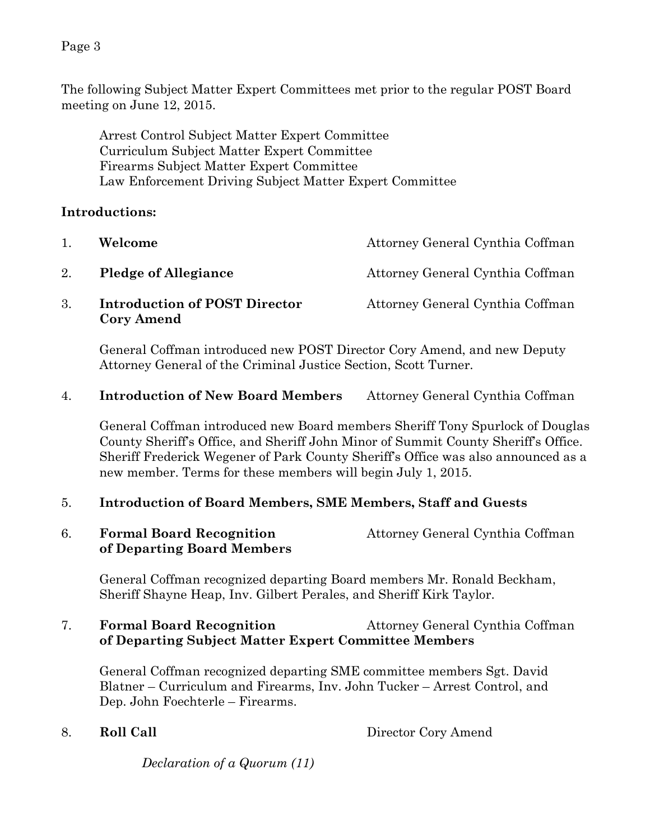The following Subject Matter Expert Committees met prior to the regular POST Board meeting on June 12, 2015.

Arrest Control Subject Matter Expert Committee Curriculum Subject Matter Expert Committee Firearms Subject Matter Expert Committee Law Enforcement Driving Subject Matter Expert Committee

### **Introductions:**

| 1. | Welcome                                                   | Attorney General Cynthia Coffman |
|----|-----------------------------------------------------------|----------------------------------|
| 2. | <b>Pledge of Allegiance</b>                               | Attorney General Cynthia Coffman |
| 3. | <b>Introduction of POST Director</b><br><b>Cory Amend</b> | Attorney General Cynthia Coffman |

General Coffman introduced new POST Director Cory Amend, and new Deputy Attorney General of the Criminal Justice Section, Scott Turner.

4. **Introduction of New Board Members** Attorney General Cynthia Coffman

General Coffman introduced new Board members Sheriff Tony Spurlock of Douglas County Sheriff's Office, and Sheriff John Minor of Summit County Sheriff's Office. Sheriff Frederick Wegener of Park County Sheriff's Office was also announced as a new member. Terms for these members will begin July 1, 2015.

# 5. **Introduction of Board Members, SME Members, Staff and Guests**

6. **Formal Board Recognition** Attorney General Cynthia Coffman **of Departing Board Members** 

General Coffman recognized departing Board members Mr. Ronald Beckham, Sheriff Shayne Heap, Inv. Gilbert Perales, and Sheriff Kirk Taylor.

# 7. **Formal Board Recognition** Attorney General Cynthia Coffman **of Departing Subject Matter Expert Committee Members**

General Coffman recognized departing SME committee members Sgt. David Blatner – Curriculum and Firearms, Inv. John Tucker – Arrest Control, and Dep. John Foechterle – Firearms.

8. **Roll Call** Director Cory Amend

*Declaration of a Quorum (11)*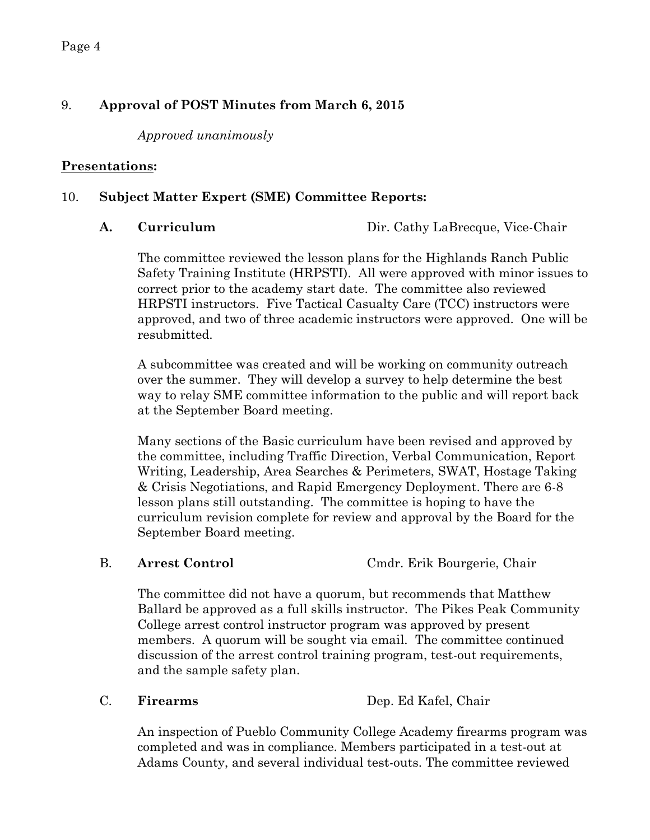# 9. **Approval of POST Minutes from March 6, 2015**

*Approved unanimously* 

# **Presentations:**

# 10. **Subject Matter Expert (SME) Committee Reports:**

A. **Curriculum** Dir. Cathy LaBrecque, Vice-Chair

The committee reviewed the lesson plans for the Highlands Ranch Public Safety Training Institute (HRPSTI). All were approved with minor issues to correct prior to the academy start date. The committee also reviewed HRPSTI instructors. Five Tactical Casualty Care (TCC) instructors were approved, and two of three academic instructors were approved. One will be resubmitted.

A subcommittee was created and will be working on community outreach over the summer. They will develop a survey to help determine the best way to relay SME committee information to the public and will report back at the September Board meeting.

Many sections of the Basic curriculum have been revised and approved by the committee, including Traffic Direction, Verbal Communication, Report Writing, Leadership, Area Searches & Perimeters, SWAT, Hostage Taking & Crisis Negotiations, and Rapid Emergency Deployment. There are 6-8 lesson plans still outstanding. The committee is hoping to have the curriculum revision complete for review and approval by the Board for the September Board meeting.

B. **Arrest Control** Cmdr. Erik Bourgerie, Chair

The committee did not have a quorum, but recommends that Matthew Ballard be approved as a full skills instructor. The Pikes Peak Community College arrest control instructor program was approved by present members. A quorum will be sought via email. The committee continued discussion of the arrest control training program, test-out requirements, and the sample safety plan.

C. **Firearms** Dep. Ed Kafel, Chair

An inspection of Pueblo Community College Academy firearms program was completed and was in compliance. Members participated in a test-out at Adams County, and several individual test-outs. The committee reviewed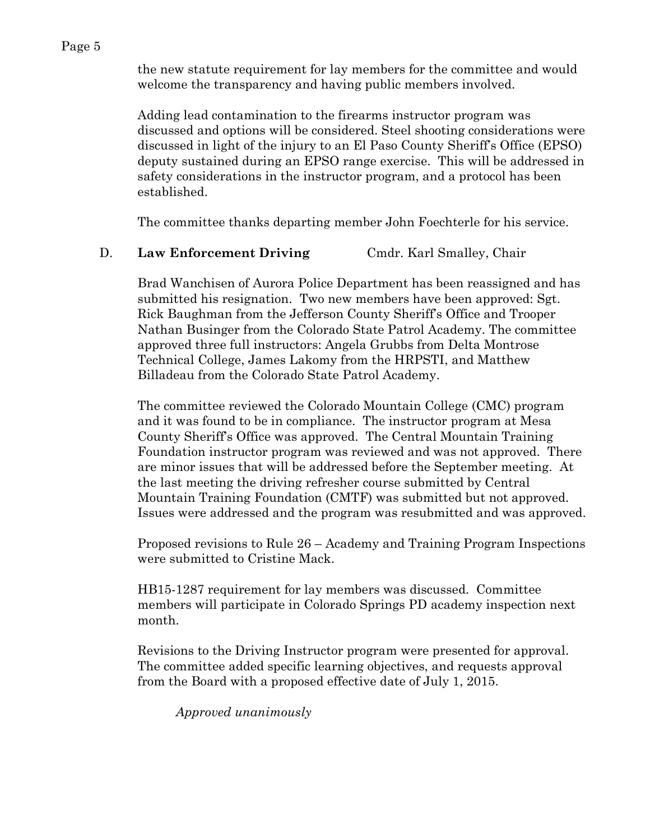the new statute requirement for lay members for the committee and would welcome the transparency and having public members involved.

Adding lead contamination to the firearms instructor program was discussed and options will be considered. Steel shooting considerations were discussed in light of the injury to an El Paso County Sheriff's Office (EPSO) deputy sustained during an EPSO range exercise. This will be addressed in safety considerations in the instructor program, and a protocol has been established.

The committee thanks departing member John Foechterle for his service.

### D. **Law Enforcement Driving** Cmdr. Karl Smalley, Chair

Brad Wanchisen of Aurora Police Department has been reassigned and has submitted his resignation. Two new members have been approved: Sgt. Rick Baughman from the Jefferson County Sheriff's Office and Trooper Nathan Businger from the Colorado State Patrol Academy. The committee approved three full instructors: Angela Grubbs from Delta Montrose Technical College, James Lakomy from the HRPSTI, and Matthew Billadeau from the Colorado State Patrol Academy.

The committee reviewed the Colorado Mountain College (CMC) program and it was found to be in compliance. The instructor program at Mesa County Sheriff's Office was approved. The Central Mountain Training Foundation instructor program was reviewed and was not approved. There are minor issues that will be addressed before the September meeting. At the last meeting the driving refresher course submitted by Central Mountain Training Foundation (CMTF) was submitted but not approved. Issues were addressed and the program was resubmitted and was approved.

Proposed revisions to Rule 26 – Academy and Training Program Inspections were submitted to Cristine Mack.

HB15-1287 requirement for lay members was discussed. Committee members will participate in Colorado Springs PD academy inspection next month.

Revisions to the Driving Instructor program were presented for approval. The committee added specific learning objectives, and requests approval from the Board with a proposed effective date of July 1, 2015.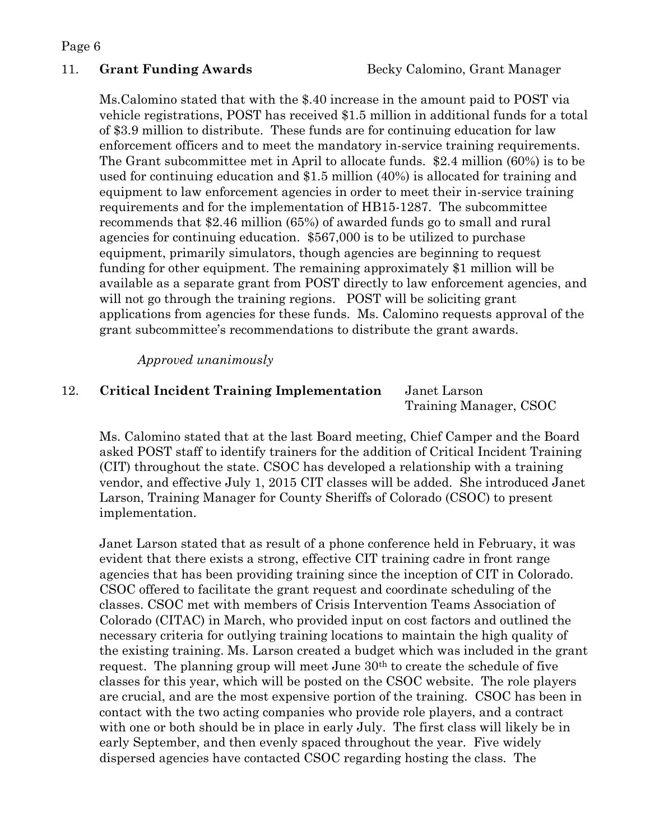Ms.Calomino stated that with the \$.40 increase in the amount paid to POST via vehicle registrations, POST has received \$1.5 million in additional funds for a total of \$3.9 million to distribute. These funds are for continuing education for law enforcement officers and to meet the mandatory in-service training requirements. The Grant subcommittee met in April to allocate funds. \$2.4 million (60%) is to be used for continuing education and \$1.5 million (40%) is allocated for training and equipment to law enforcement agencies in order to meet their in-service training requirements and for the implementation of HB15-1287. The subcommittee recommends that \$2.46 million (65%) of awarded funds go to small and rural agencies for continuing education. \$567,000 is to be utilized to purchase equipment, primarily simulators, though agencies are beginning to request funding for other equipment. The remaining approximately \$1 million will be available as a separate grant from POST directly to law enforcement agencies, and will not go through the training regions. POST will be soliciting grant applications from agencies for these funds. Ms. Calomino requests approval of the grant subcommittee's recommendations to distribute the grant awards.

#### *Approved unanimously*

# 12. **Critical Incident Training Implementation** Janet Larson

Training Manager, CSOC

Ms. Calomino stated that at the last Board meeting, Chief Camper and the Board asked POST staff to identify trainers for the addition of Critical Incident Training (CIT) throughout the state. CSOC has developed a relationship with a training vendor, and effective July 1, 2015 CIT classes will be added. She introduced Janet Larson, Training Manager for County Sheriffs of Colorado (CSOC) to present implementation.

Janet Larson stated that as result of a phone conference held in February, it was evident that there exists a strong, effective CIT training cadre in front range agencies that has been providing training since the inception of CIT in Colorado. CSOC offered to facilitate the grant request and coordinate scheduling of the classes. CSOC met with members of Crisis Intervention Teams Association of Colorado (CITAC) in March, who provided input on cost factors and outlined the necessary criteria for outlying training locations to maintain the high quality of the existing training. Ms. Larson created a budget which was included in the grant request. The planning group will meet June 30th to create the schedule of five classes for this year, which will be posted on the CSOC website. The role players are crucial, and are the most expensive portion of the training. CSOC has been in contact with the two acting companies who provide role players, and a contract with one or both should be in place in early July. The first class will likely be in early September, and then evenly spaced throughout the year. Five widely dispersed agencies have contacted CSOC regarding hosting the class. The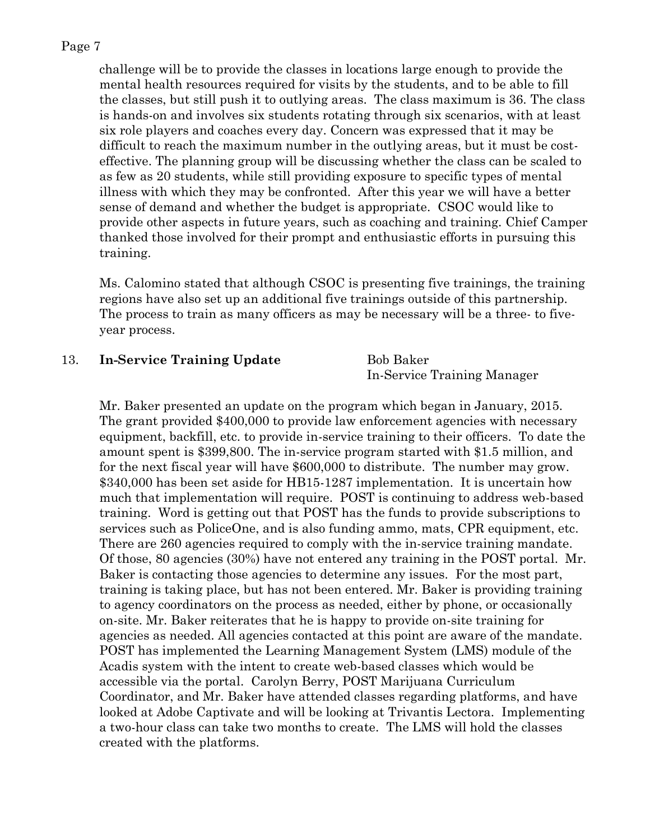challenge will be to provide the classes in locations large enough to provide the mental health resources required for visits by the students, and to be able to fill the classes, but still push it to outlying areas. The class maximum is 36. The class is hands-on and involves six students rotating through six scenarios, with at least six role players and coaches every day. Concern was expressed that it may be difficult to reach the maximum number in the outlying areas, but it must be costeffective. The planning group will be discussing whether the class can be scaled to as few as 20 students, while still providing exposure to specific types of mental illness with which they may be confronted. After this year we will have a better sense of demand and whether the budget is appropriate. CSOC would like to provide other aspects in future years, such as coaching and training. Chief Camper thanked those involved for their prompt and enthusiastic efforts in pursuing this training.

Ms. Calomino stated that although CSOC is presenting five trainings, the training regions have also set up an additional five trainings outside of this partnership. The process to train as many officers as may be necessary will be a three- to fiveyear process.

#### 13. **In-Service Training Update** Bob Baker

In-Service Training Manager

Mr. Baker presented an update on the program which began in January, 2015. The grant provided \$400,000 to provide law enforcement agencies with necessary equipment, backfill, etc. to provide in-service training to their officers. To date the amount spent is \$399,800. The in-service program started with \$1.5 million, and for the next fiscal year will have \$600,000 to distribute. The number may grow. \$340,000 has been set aside for HB15-1287 implementation. It is uncertain how much that implementation will require. POST is continuing to address web-based training. Word is getting out that POST has the funds to provide subscriptions to services such as PoliceOne, and is also funding ammo, mats, CPR equipment, etc. There are 260 agencies required to comply with the in-service training mandate. Of those, 80 agencies (30%) have not entered any training in the POST portal. Mr. Baker is contacting those agencies to determine any issues. For the most part, training is taking place, but has not been entered. Mr. Baker is providing training to agency coordinators on the process as needed, either by phone, or occasionally on-site. Mr. Baker reiterates that he is happy to provide on-site training for agencies as needed. All agencies contacted at this point are aware of the mandate. POST has implemented the Learning Management System (LMS) module of the Acadis system with the intent to create web-based classes which would be accessible via the portal. Carolyn Berry, POST Marijuana Curriculum Coordinator, and Mr. Baker have attended classes regarding platforms, and have looked at Adobe Captivate and will be looking at Trivantis Lectora. Implementing a two-hour class can take two months to create. The LMS will hold the classes created with the platforms.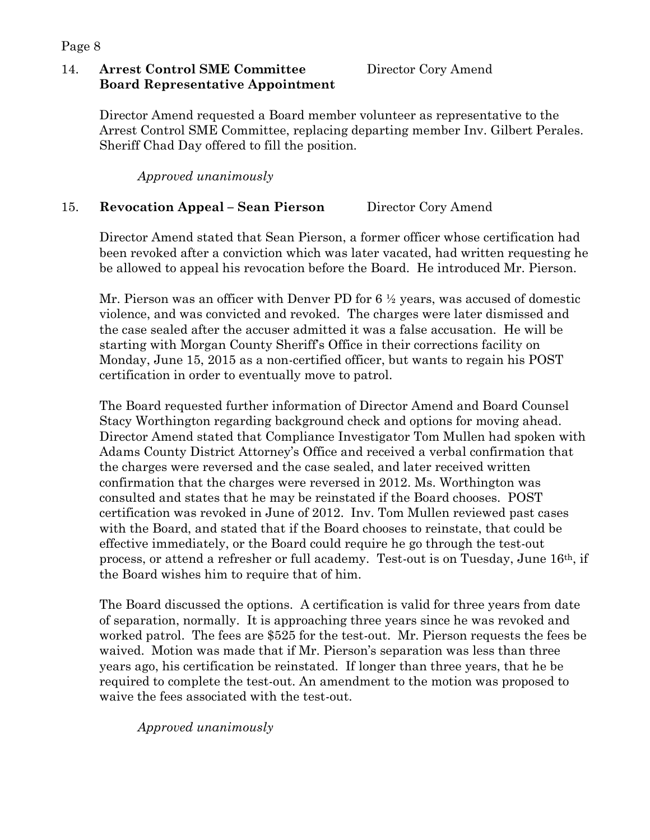### 14. **Arrest Control SME Committee Director Cory Amend Board Representative Appointment**

Director Amend requested a Board member volunteer as representative to the Arrest Control SME Committee, replacing departing member Inv. Gilbert Perales. Sheriff Chad Day offered to fill the position.

*Approved unanimously*

# 15. **Revocation Appeal – Sean Pierson** Director Cory Amend

Director Amend stated that Sean Pierson, a former officer whose certification had been revoked after a conviction which was later vacated, had written requesting he be allowed to appeal his revocation before the Board. He introduced Mr. Pierson.

Mr. Pierson was an officer with Denver PD for 6 ½ years, was accused of domestic violence, and was convicted and revoked. The charges were later dismissed and the case sealed after the accuser admitted it was a false accusation. He will be starting with Morgan County Sheriff's Office in their corrections facility on Monday, June 15, 2015 as a non-certified officer, but wants to regain his POST certification in order to eventually move to patrol.

The Board requested further information of Director Amend and Board Counsel Stacy Worthington regarding background check and options for moving ahead. Director Amend stated that Compliance Investigator Tom Mullen had spoken with Adams County District Attorney's Office and received a verbal confirmation that the charges were reversed and the case sealed, and later received written confirmation that the charges were reversed in 2012. Ms. Worthington was consulted and states that he may be reinstated if the Board chooses. POST certification was revoked in June of 2012. Inv. Tom Mullen reviewed past cases with the Board, and stated that if the Board chooses to reinstate, that could be effective immediately, or the Board could require he go through the test-out process, or attend a refresher or full academy. Test-out is on Tuesday, June 16th, if the Board wishes him to require that of him.

The Board discussed the options. A certification is valid for three years from date of separation, normally. It is approaching three years since he was revoked and worked patrol. The fees are \$525 for the test-out. Mr. Pierson requests the fees be waived. Motion was made that if Mr. Pierson's separation was less than three years ago, his certification be reinstated. If longer than three years, that he be required to complete the test-out. An amendment to the motion was proposed to waive the fees associated with the test-out.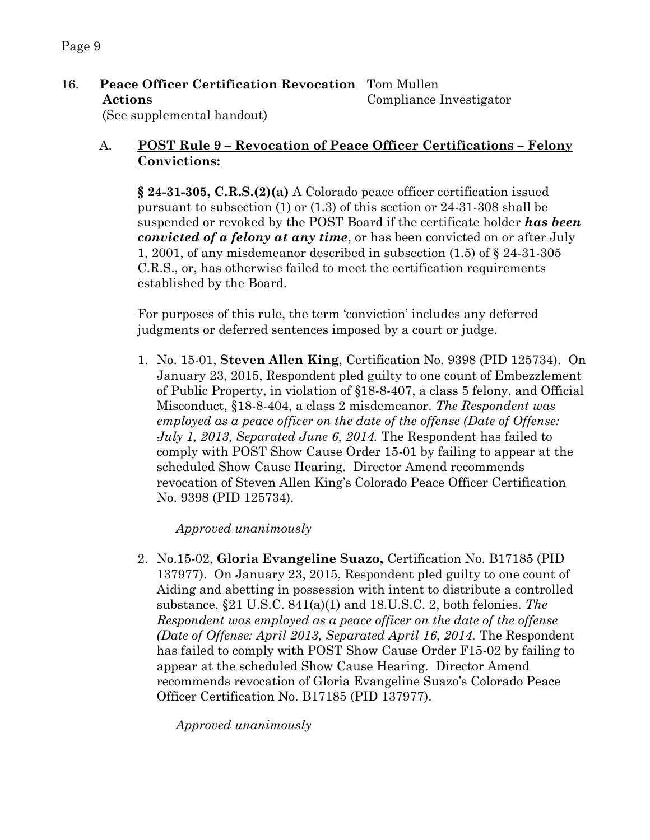16. **Peace Officer Certification Revocation** Tom Mullen **Actions** Compliance Investigator

(See supplemental handout)

# A. **POST Rule 9 – Revocation of Peace Officer Certifications – Felony Convictions:**

**§ 24-31-305, C.R.S.(2)(a)** A Colorado peace officer certification issued pursuant to subsection (1) or (1.3) of this section or 24-31-308 shall be suspended or revoked by the POST Board if the certificate holder *has been convicted of a felony at any time*, or has been convicted on or after July 1, 2001, of any misdemeanor described in subsection (1.5) of § 24-31-305 C.R.S., or, has otherwise failed to meet the certification requirements established by the Board.

For purposes of this rule, the term 'conviction' includes any deferred judgments or deferred sentences imposed by a court or judge.

1. No. 15-01, **Steven Allen King**, Certification No. 9398 (PID 125734). On January 23, 2015, Respondent pled guilty to one count of Embezzlement of Public Property, in violation of §18-8-407, a class 5 felony, and Official Misconduct, §18-8-404, a class 2 misdemeanor. *The Respondent was employed as a peace officer on the date of the offense (Date of Offense: July 1, 2013, Separated June 6, 2014.* The Respondent has failed to comply with POST Show Cause Order 15-01 by failing to appear at the scheduled Show Cause Hearing. Director Amend recommends revocation of Steven Allen King's Colorado Peace Officer Certification No. 9398 (PID 125734).

*Approved unanimously*

2. No.15-02, **Gloria Evangeline Suazo,** Certification No. B17185 (PID 137977). On January 23, 2015, Respondent pled guilty to one count of Aiding and abetting in possession with intent to distribute a controlled substance, §21 U.S.C. 841(a)(1) and 18.U.S.C. 2, both felonies. *The Respondent was employed as a peace officer on the date of the offense (Date of Offense: April 2013, Separated April 16, 2014.* The Respondent has failed to comply with POST Show Cause Order F15-02 by failing to appear at the scheduled Show Cause Hearing. Director Amend recommends revocation of Gloria Evangeline Suazo's Colorado Peace Officer Certification No. B17185 (PID 137977).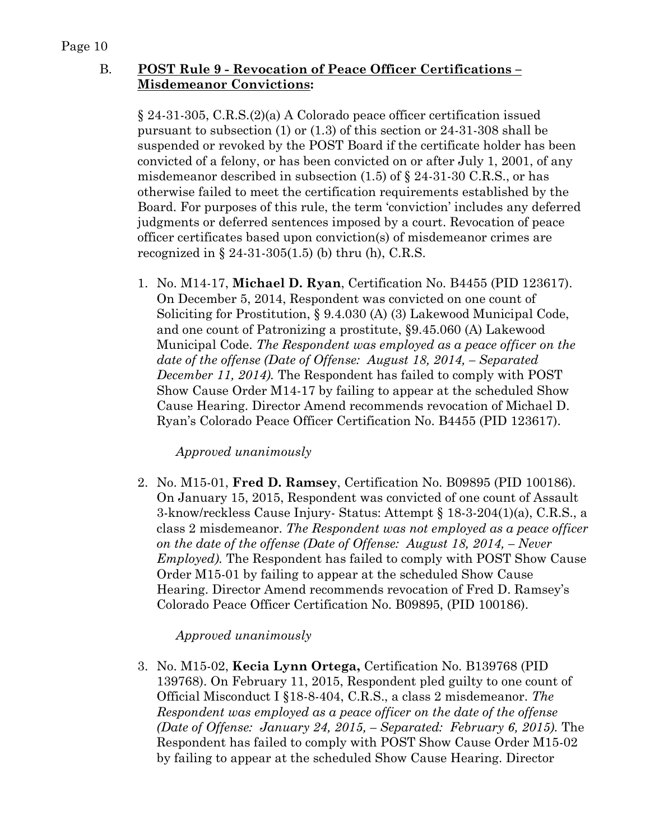# B. **POST Rule 9 - Revocation of Peace Officer Certifications – Misdemeanor Convictions:**

§ 24-31-305, C.R.S.(2)(a) A Colorado peace officer certification issued pursuant to subsection (1) or (1.3) of this section or 24-31-308 shall be suspended or revoked by the POST Board if the certificate holder has been convicted of a felony, or has been convicted on or after July 1, 2001, of any misdemeanor described in subsection  $(1.5)$  of  $\S$  24-31-30 C.R.S., or has otherwise failed to meet the certification requirements established by the Board. For purposes of this rule, the term 'conviction' includes any deferred judgments or deferred sentences imposed by a court. Revocation of peace officer certificates based upon conviction(s) of misdemeanor crimes are recognized in  $\S 24-31-305(1.5)$  (b) thru (h), C.R.S.

1. No. M14-17, **Michael D. Ryan**, Certification No. B4455 (PID 123617). On December 5, 2014, Respondent was convicted on one count of Soliciting for Prostitution, § 9.4.030 (A) (3) Lakewood Municipal Code, and one count of Patronizing a prostitute, §9.45.060 (A) Lakewood Municipal Code. *The Respondent was employed as a peace officer on the date of the offense (Date of Offense: August 18, 2014, – Separated December 11, 2014).* The Respondent has failed to comply with POST Show Cause Order M14-17 by failing to appear at the scheduled Show Cause Hearing. Director Amend recommends revocation of Michael D. Ryan's Colorado Peace Officer Certification No. B4455 (PID 123617).

#### *Approved unanimously*

2. No. M15-01, **Fred D. Ramsey**, Certification No. B09895 (PID 100186). On January 15, 2015, Respondent was convicted of one count of Assault 3-know/reckless Cause Injury- Status: Attempt § 18-3-204(1)(a), C.R.S., a class 2 misdemeanor. *The Respondent was not employed as a peace officer on the date of the offense (Date of Offense: August 18, 2014, – Never Employed).* The Respondent has failed to comply with POST Show Cause Order M15-01 by failing to appear at the scheduled Show Cause Hearing. Director Amend recommends revocation of Fred D. Ramsey's Colorado Peace Officer Certification No. B09895, (PID 100186).

#### *Approved unanimously*

3. No. M15-02, **Kecia Lynn Ortega,** Certification No. B139768 (PID 139768). On February 11, 2015, Respondent pled guilty to one count of Official Misconduct I §18-8-404, C.R.S., a class 2 misdemeanor. *The Respondent was employed as a peace officer on the date of the offense (Date of Offense: January 24, 2015, – Separated: February 6, 2015).* The Respondent has failed to comply with POST Show Cause Order M15-02 by failing to appear at the scheduled Show Cause Hearing. Director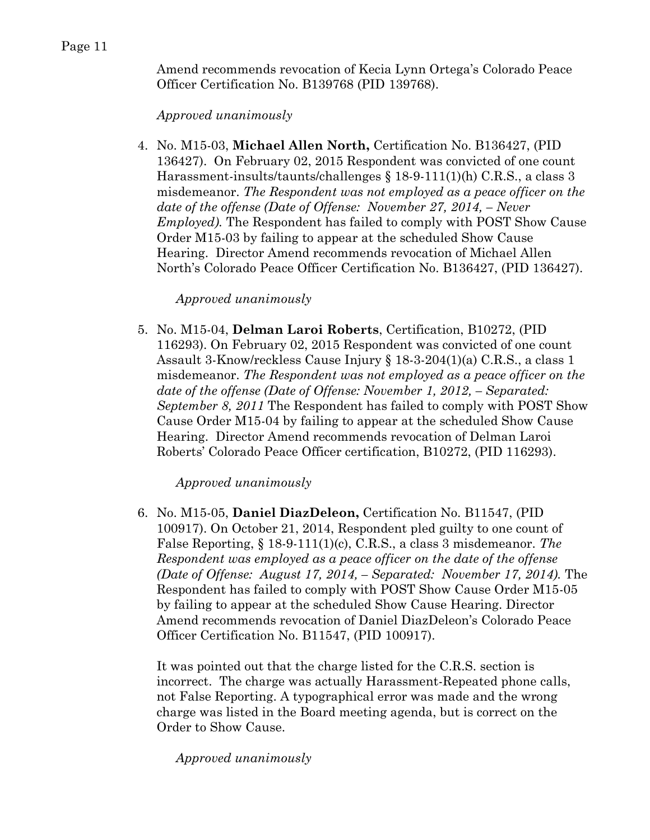Amend recommends revocation of Kecia Lynn Ortega's Colorado Peace Officer Certification No. B139768 (PID 139768).

#### *Approved unanimously*

4. No. M15-03, **Michael Allen North,** Certification No. B136427, (PID 136427). On February 02, 2015 Respondent was convicted of one count Harassment-insults/taunts/challenges § 18-9-111(1)(h) C.R.S., a class 3 misdemeanor. *The Respondent was not employed as a peace officer on the date of the offense (Date of Offense: November 27, 2014, – Never Employed).* The Respondent has failed to comply with POST Show Cause Order M15-03 by failing to appear at the scheduled Show Cause Hearing. Director Amend recommends revocation of Michael Allen North's Colorado Peace Officer Certification No. B136427, (PID 136427).

#### *Approved unanimously*

5. No. M15-04, **Delman Laroi Roberts**, Certification, B10272, (PID 116293). On February 02, 2015 Respondent was convicted of one count Assault 3-Know/reckless Cause Injury § 18-3-204(1)(a) C.R.S., a class 1 misdemeanor. *The Respondent was not employed as a peace officer on the date of the offense (Date of Offense: November 1, 2012, – Separated: September 8, 2011* The Respondent has failed to comply with POST Show Cause Order M15-04 by failing to appear at the scheduled Show Cause Hearing. Director Amend recommends revocation of Delman Laroi Roberts' Colorado Peace Officer certification, B10272, (PID 116293).

#### *Approved unanimously*

6. No. M15-05, **Daniel DiazDeleon,** Certification No. B11547, (PID 100917). On October 21, 2014, Respondent pled guilty to one count of False Reporting, § 18-9-111(1)(c), C.R.S., a class 3 misdemeanor. *The Respondent was employed as a peace officer on the date of the offense (Date of Offense: August 17, 2014, – Separated: November 17, 2014).* The Respondent has failed to comply with POST Show Cause Order M15-05 by failing to appear at the scheduled Show Cause Hearing. Director Amend recommends revocation of Daniel DiazDeleon's Colorado Peace Officer Certification No. B11547, (PID 100917).

It was pointed out that the charge listed for the C.R.S. section is incorrect. The charge was actually Harassment-Repeated phone calls, not False Reporting. A typographical error was made and the wrong charge was listed in the Board meeting agenda, but is correct on the Order to Show Cause.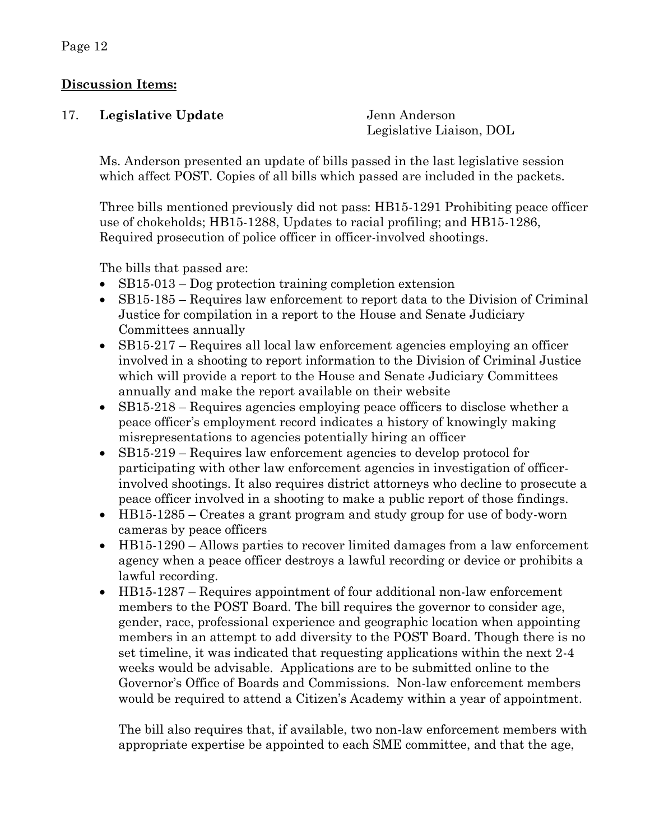# **Discussion Items:**

| 17. | Legislative Update | Jenn Anderson            |
|-----|--------------------|--------------------------|
|     |                    | Legislative Liaison, DOL |

Ms. Anderson presented an update of bills passed in the last legislative session which affect POST. Copies of all bills which passed are included in the packets.

Three bills mentioned previously did not pass: HB15-1291 Prohibiting peace officer use of chokeholds; HB15-1288, Updates to racial profiling; and HB15-1286, Required prosecution of police officer in officer-involved shootings.

The bills that passed are:

- SB15-013 Dog protection training completion extension
- SB15-185 Requires law enforcement to report data to the Division of Criminal Justice for compilation in a report to the House and Senate Judiciary Committees annually
- SB15-217 Requires all local law enforcement agencies employing an officer involved in a shooting to report information to the Division of Criminal Justice which will provide a report to the House and Senate Judiciary Committees annually and make the report available on their website
- SB15-218 Requires agencies employing peace officers to disclose whether a peace officer's employment record indicates a history of knowingly making misrepresentations to agencies potentially hiring an officer
- SB15-219 Requires law enforcement agencies to develop protocol for participating with other law enforcement agencies in investigation of officerinvolved shootings. It also requires district attorneys who decline to prosecute a peace officer involved in a shooting to make a public report of those findings.
- HB15-1285 Creates a grant program and study group for use of body-worn cameras by peace officers
- HB15-1290 Allows parties to recover limited damages from a law enforcement agency when a peace officer destroys a lawful recording or device or prohibits a lawful recording.
- HB15-1287 Requires appointment of four additional non-law enforcement members to the POST Board. The bill requires the governor to consider age, gender, race, professional experience and geographic location when appointing members in an attempt to add diversity to the POST Board. Though there is no set timeline, it was indicated that requesting applications within the next 2-4 weeks would be advisable. Applications are to be submitted online to the Governor's Office of Boards and Commissions. Non-law enforcement members would be required to attend a Citizen's Academy within a year of appointment.

The bill also requires that, if available, two non-law enforcement members with appropriate expertise be appointed to each SME committee, and that the age,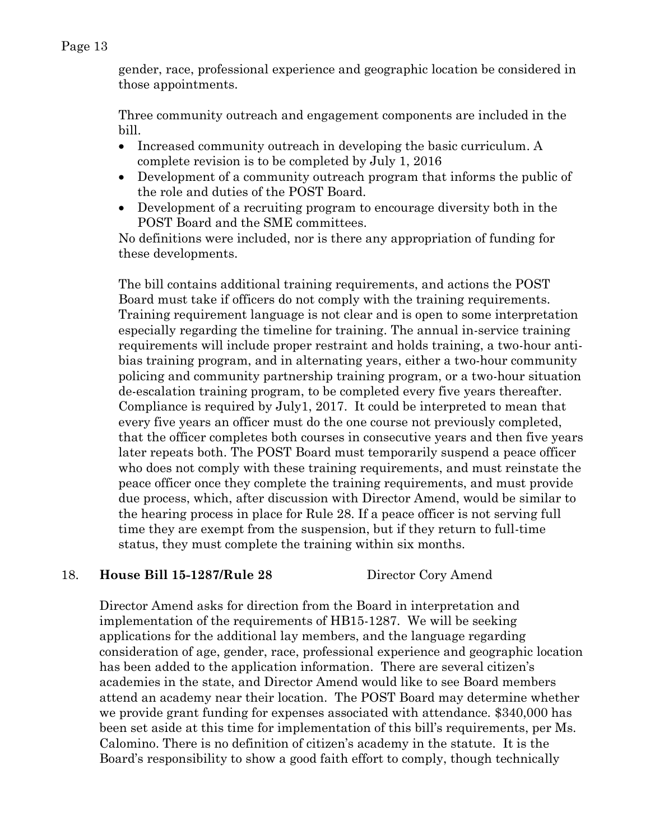gender, race, professional experience and geographic location be considered in those appointments.

Three community outreach and engagement components are included in the bill.

- Increased community outreach in developing the basic curriculum. A complete revision is to be completed by July 1, 2016
- Development of a community outreach program that informs the public of the role and duties of the POST Board.
- Development of a recruiting program to encourage diversity both in the POST Board and the SME committees.

No definitions were included, nor is there any appropriation of funding for these developments.

The bill contains additional training requirements, and actions the POST Board must take if officers do not comply with the training requirements. Training requirement language is not clear and is open to some interpretation especially regarding the timeline for training. The annual in-service training requirements will include proper restraint and holds training, a two-hour antibias training program, and in alternating years, either a two-hour community policing and community partnership training program, or a two-hour situation de-escalation training program, to be completed every five years thereafter. Compliance is required by July1, 2017. It could be interpreted to mean that every five years an officer must do the one course not previously completed, that the officer completes both courses in consecutive years and then five years later repeats both. The POST Board must temporarily suspend a peace officer who does not comply with these training requirements, and must reinstate the peace officer once they complete the training requirements, and must provide due process, which, after discussion with Director Amend, would be similar to the hearing process in place for Rule 28. If a peace officer is not serving full time they are exempt from the suspension, but if they return to full-time status, they must complete the training within six months.

# 18. **House Bill 15-1287/Rule 28** Director Cory Amend

Director Amend asks for direction from the Board in interpretation and implementation of the requirements of HB15-1287. We will be seeking applications for the additional lay members, and the language regarding consideration of age, gender, race, professional experience and geographic location has been added to the application information. There are several citizen's academies in the state, and Director Amend would like to see Board members attend an academy near their location. The POST Board may determine whether we provide grant funding for expenses associated with attendance. \$340,000 has been set aside at this time for implementation of this bill's requirements, per Ms. Calomino. There is no definition of citizen's academy in the statute. It is the Board's responsibility to show a good faith effort to comply, though technically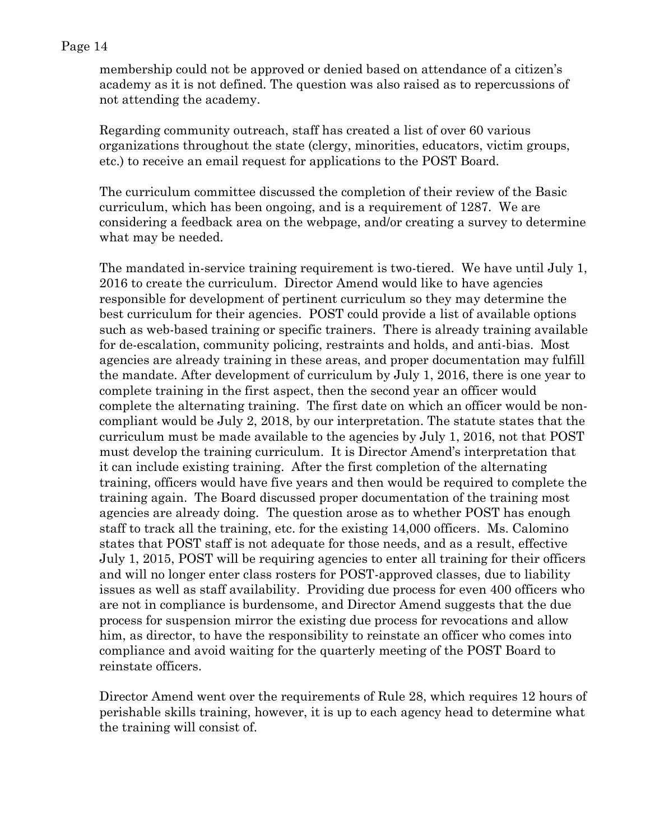membership could not be approved or denied based on attendance of a citizen's academy as it is not defined. The question was also raised as to repercussions of not attending the academy.

Regarding community outreach, staff has created a list of over 60 various organizations throughout the state (clergy, minorities, educators, victim groups, etc.) to receive an email request for applications to the POST Board.

The curriculum committee discussed the completion of their review of the Basic curriculum, which has been ongoing, and is a requirement of 1287. We are considering a feedback area on the webpage, and/or creating a survey to determine what may be needed.

The mandated in-service training requirement is two-tiered. We have until July 1, 2016 to create the curriculum. Director Amend would like to have agencies responsible for development of pertinent curriculum so they may determine the best curriculum for their agencies. POST could provide a list of available options such as web-based training or specific trainers. There is already training available for de-escalation, community policing, restraints and holds, and anti-bias. Most agencies are already training in these areas, and proper documentation may fulfill the mandate. After development of curriculum by July 1, 2016, there is one year to complete training in the first aspect, then the second year an officer would complete the alternating training. The first date on which an officer would be noncompliant would be July 2, 2018, by our interpretation. The statute states that the curriculum must be made available to the agencies by July 1, 2016, not that POST must develop the training curriculum. It is Director Amend's interpretation that it can include existing training. After the first completion of the alternating training, officers would have five years and then would be required to complete the training again. The Board discussed proper documentation of the training most agencies are already doing. The question arose as to whether POST has enough staff to track all the training, etc. for the existing 14,000 officers. Ms. Calomino states that POST staff is not adequate for those needs, and as a result, effective July 1, 2015, POST will be requiring agencies to enter all training for their officers and will no longer enter class rosters for POST-approved classes, due to liability issues as well as staff availability. Providing due process for even 400 officers who are not in compliance is burdensome, and Director Amend suggests that the due process for suspension mirror the existing due process for revocations and allow him, as director, to have the responsibility to reinstate an officer who comes into compliance and avoid waiting for the quarterly meeting of the POST Board to reinstate officers.

Director Amend went over the requirements of Rule 28, which requires 12 hours of perishable skills training, however, it is up to each agency head to determine what the training will consist of.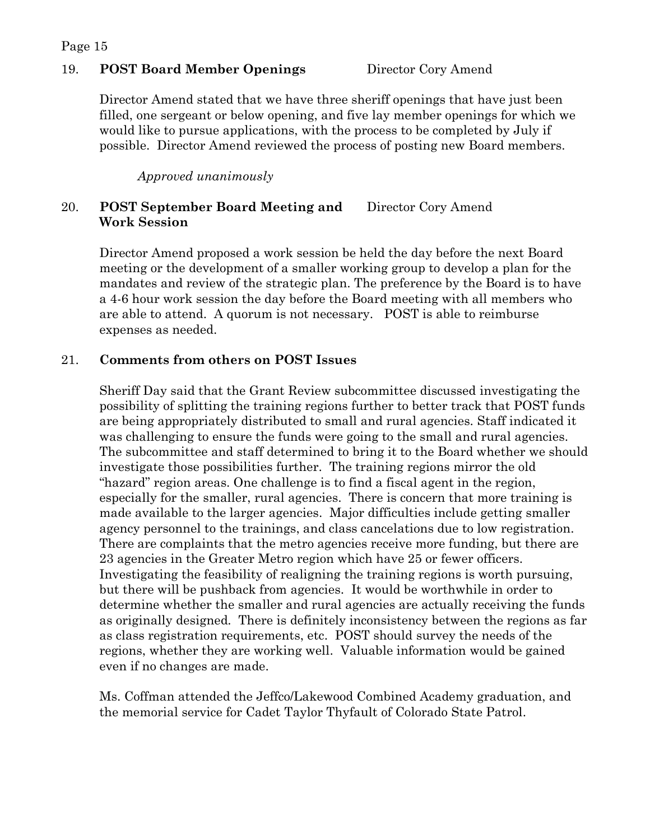#### 19. **POST Board Member Openings** Director Cory Amend

Director Amend stated that we have three sheriff openings that have just been filled, one sergeant or below opening, and five lay member openings for which we would like to pursue applications, with the process to be completed by July if possible. Director Amend reviewed the process of posting new Board members.

*Approved unanimously*

### 20. **POST September Board Meeting and** Director Cory Amend **Work Session**

Director Amend proposed a work session be held the day before the next Board meeting or the development of a smaller working group to develop a plan for the mandates and review of the strategic plan. The preference by the Board is to have a 4-6 hour work session the day before the Board meeting with all members who are able to attend. A quorum is not necessary. POST is able to reimburse expenses as needed.

### 21. **Comments from others on POST Issues**

Sheriff Day said that the Grant Review subcommittee discussed investigating the possibility of splitting the training regions further to better track that POST funds are being appropriately distributed to small and rural agencies. Staff indicated it was challenging to ensure the funds were going to the small and rural agencies. The subcommittee and staff determined to bring it to the Board whether we should investigate those possibilities further. The training regions mirror the old "hazard" region areas. One challenge is to find a fiscal agent in the region, especially for the smaller, rural agencies. There is concern that more training is made available to the larger agencies. Major difficulties include getting smaller agency personnel to the trainings, and class cancelations due to low registration. There are complaints that the metro agencies receive more funding, but there are 23 agencies in the Greater Metro region which have 25 or fewer officers. Investigating the feasibility of realigning the training regions is worth pursuing, but there will be pushback from agencies. It would be worthwhile in order to determine whether the smaller and rural agencies are actually receiving the funds as originally designed. There is definitely inconsistency between the regions as far as class registration requirements, etc. POST should survey the needs of the regions, whether they are working well. Valuable information would be gained even if no changes are made.

Ms. Coffman attended the Jeffco/Lakewood Combined Academy graduation, and the memorial service for Cadet Taylor Thyfault of Colorado State Patrol.